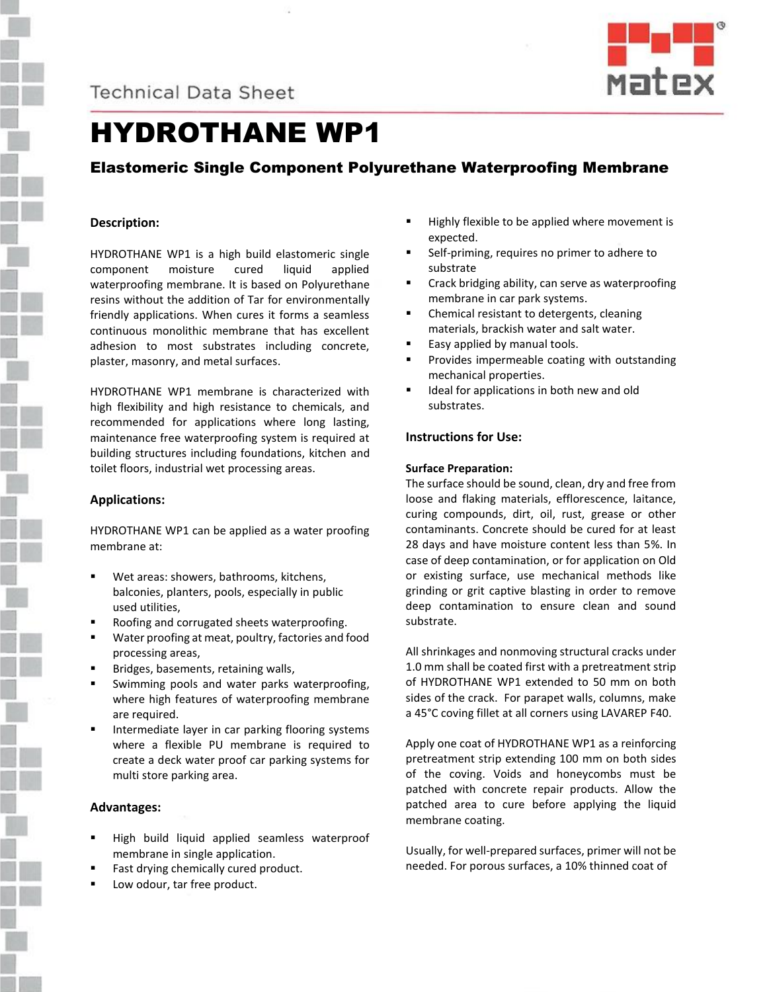



# HYDROTHANE WP1

## Elastomeric Single Component Polyurethane Waterproofing Membrane

#### **Description:**

HYDROTHANE WP1 is a high build elastomeric single component moisture cured liquid applied waterproofing membrane. It is based on Polyurethane resins without the addition of Tar for environmentally friendly applications. When cures it forms a seamless continuous monolithic membrane that has excellent adhesion to most substrates including concrete, plaster, masonry, and metal surfaces.

HYDROTHANE WP1 membrane is characterized with high flexibility and high resistance to chemicals, and recommended for applications where long lasting, maintenance free waterproofing system is required at building structures including foundations, kitchen and toilet floors, industrial wet processing areas.

#### **Applications:**

HYDROTHANE WP1 can be applied as a water proofing membrane at:

- Wet areas: showers, bathrooms, kitchens, balconies, planters, pools, especially in public used utilities,
- Roofing and corrugated sheets waterproofing.
- Water proofing at meat, poultry, factories and food processing areas,
- Bridges, basements, retaining walls,
- Swimming pools and water parks waterproofing, where high features of waterproofing membrane are required.
- Intermediate layer in car parking flooring systems where a flexible PU membrane is required to create a deck water proof car parking systems for multi store parking area.

## **Advantages:**

- High build liquid applied seamless waterproof membrane in single application.
- Fast drying chemically cured product.
- Low odour, tar free product.
- Highly flexible to be applied where movement is expected.
- Self-priming, requires no primer to adhere to substrate
- Crack bridging ability, can serve as waterproofing membrane in car park systems.
- Chemical resistant to detergents, cleaning materials, brackish water and salt water.
- Easy applied by manual tools.
- Provides impermeable coating with outstanding mechanical properties.
- Ideal for applications in both new and old substrates.

#### **Instructions for Use:**

#### **Surface Preparation:**

The surface should be sound, clean, dry and free from loose and flaking materials, efflorescence, laitance, curing compounds, dirt, oil, rust, grease or other contaminants. Concrete should be cured for at least 28 days and have moisture content less than 5%. In case of deep contamination, or for application on Old or existing surface, use mechanical methods like grinding or grit captive blasting in order to remove deep contamination to ensure clean and sound substrate.

All shrinkages and nonmoving structural cracks under 1.0 mm shall be coated first with a pretreatment strip of HYDROTHANE WP1 extended to 50 mm on both sides of the crack. For parapet walls, columns, make a 45°C coving fillet at all corners using LAVAREP F40.

Apply one coat of HYDROTHANE WP1 as a reinforcing pretreatment strip extending 100 mm on both sides of the coving. Voids and honeycombs must be patched with concrete repair products. Allow the patched area to cure before applying the liquid membrane coating.

Usually, for well-prepared surfaces, primer will not be needed. For porous surfaces, a 10% thinned coat of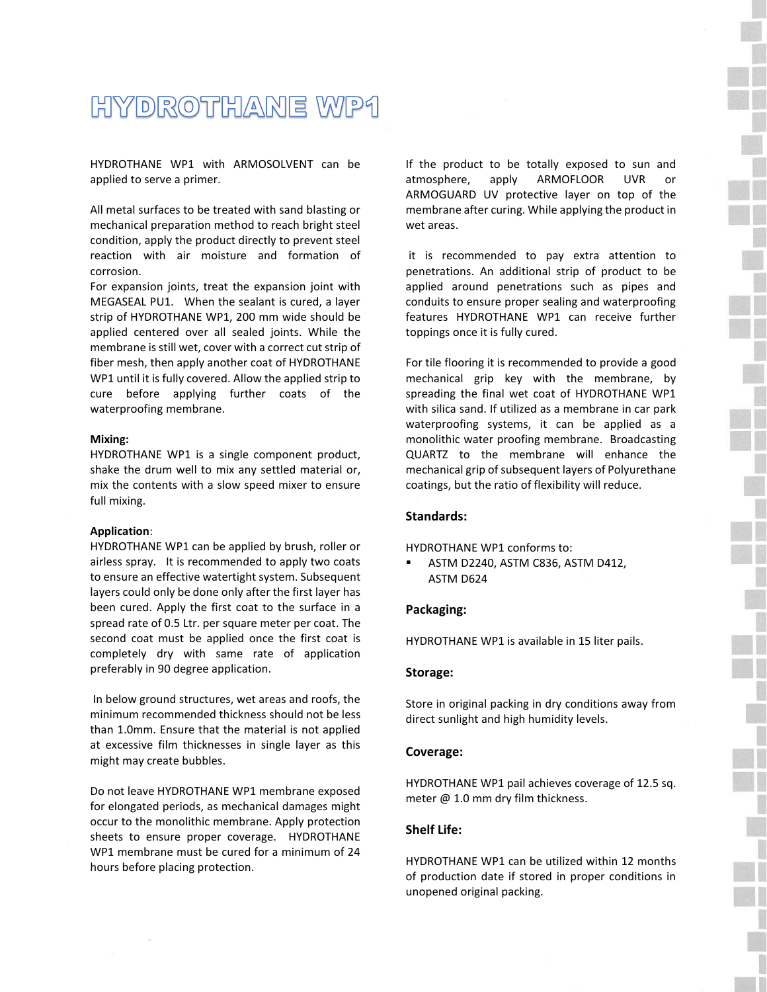## HYDROTHANE WP1

HYDROTHANE WP1 with ARMOSOLVENT can be applied to serve a primer.

All metal surfaces to be treated with sand blasting or mechanical preparation method to reach bright steel condition, apply the product directly to prevent steel reaction with air moisture and formation of corrosion.

For expansion joints, treat the expansion joint with MEGASEAL PU1. When the sealant is cured, a layer strip of HYDROTHANE WP1, 200 mm wide should be applied centered over all sealed joints. While the membrane is still wet, cover with a correct cut strip of fiber mesh, then apply another coat of HYDROTHANE WP1 until it is fully covered. Allow the applied strip to cure before applying further coats of the waterproofing membrane.

#### **Mixing:**

HYDROTHANE WP1 is a single component product, shake the drum well to mix any settled material or, mix the contents with a slow speed mixer to ensure full mixing.

#### **Application**:

HYDROTHANE WP1 can be applied by brush, roller or airless spray. It is recommended to apply two coats to ensure an effective watertight system. Subsequent layers could only be done only after the first layer has been cured. Apply the first coat to the surface in a spread rate of 0.5 Ltr. per square meter per coat. The second coat must be applied once the first coat is completely dry with same rate of application preferably in 90 degree application.

In below ground structures, wet areas and roofs, the minimum recommended thickness should not be less than 1.0mm. Ensure that the material is not applied at excessive film thicknesses in single layer as this might may create bubbles.

Do not leave HYDROTHANE WP1 membrane exposed for elongated periods, as mechanical damages might occur to the monolithic membrane. Apply protection sheets to ensure proper coverage. HYDROTHANE WP1 membrane must be cured for a minimum of 24 hours before placing protection.

If the product to be totally exposed to sun and atmosphere, apply ARMOFLOOR UVR or ARMOGUARD UV protective layer on top of the membrane after curing. While applying the product in wet areas.

it is recommended to pay extra attention to penetrations. An additional strip of product to be applied around penetrations such as pipes and conduits to ensure proper sealing and waterproofing features HYDROTHANE WP1 can receive further toppings once it is fully cured.

For tile flooring it is recommended to provide a good mechanical grip key with the membrane, by spreading the final wet coat of HYDROTHANE WP1 with silica sand. If utilized as a membrane in car park waterproofing systems, it can be applied as a monolithic water proofing membrane. Broadcasting QUARTZ to the membrane will enhance the mechanical grip of subsequent layers of Polyurethane coatings, but the ratio of flexibility will reduce.

## **Standards:**

HYDROTHANE WP1 conforms to:

ASTM D2240, ASTM C836, ASTM D412, ASTM D624

#### **Packaging:**

HYDROTHANE WP1 is available in 15 liter pails.

#### **Storage:**

Store in original packing in dry conditions away from direct sunlight and high humidity levels.

#### **Coverage:**

HYDROTHANE WP1 pail achieves coverage of 12.5 sq. meter @ 1.0 mm dry film thickness.

#### **Shelf Life:**

HYDROTHANE WP1 can be utilized within 12 months of production date if stored in proper conditions in unopened original packing.